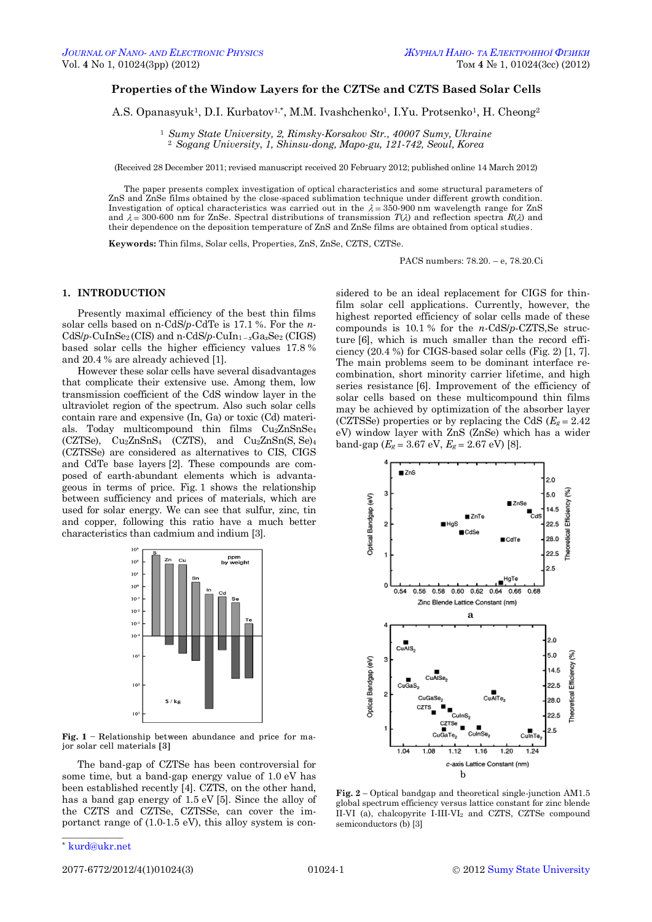# **Properties of the Window Layers for the CZTSe and CZTS Based Solar Cells**

A.S. Opanasyuk<sup>1</sup>, D.I. Kurbatov<sup>1,\*</sup>, M.M. Ivashchenko<sup>1</sup>, I.Yu. Protsenko<sup>1</sup>, H. Cheong<sup>2</sup>

<sup>1</sup> *Sumy State University, 2, Rimsky-Korsakov Str., 40007 Sumy, Ukraine* <sup>2</sup> *Sogang University*, *1, Shinsu-dong, Mapo-gu, 121-742, Seoul, Korea*

(Received 28 December 2011; revised manuscript received 20 February 2012; published online 14 March 2012)

The paper presents complex investigation of optical characteristics and some structural parameters of ZnS and ZnSe films obtained by the close-spaced sublimation technique under different growth condition. Investigation of optical characteristics was carried out in the  $\lambda = 350$ -900 nm wavelength range for ZnS and  $\lambda = 300{\text{-}}600$  nm for ZnSe. Spectral distributions of transmission  $T(\lambda)$  and reflection spectra  $R(\lambda)$  and their dependence on the deposition temperature of ZnS and ZnSe films are obtained from optical studies.

**Keywords:** Thin films, Solar cells, Properties, ZnS, ZnSe, CZTS, CZTSe.

PACS numbers: 78.20. – e, 78.20.Ci

## **1. INTRODUCTION**

Presently maximal efficiency of the best thin films solar cells based on n-CdS/*p*-CdTe is 17.1 %. For the *n*- $CdS/p$ -CuInSe<sub>2</sub> (CIS) and n-CdS/p-CuIn<sub>1-x</sub>Ga<sub>x</sub>Se<sub>2</sub> (CIGS) based solar cells the higher efficiency values 17.8 % and 20.4 % are already achieved [1].

However these solar cells have several disadvantages that complicate their extensive use. Among them, low transmission coefficient of the CdS window layer in the ultraviolet region of the spectrum. Also such solar cells contain rare and expensive (In, Ga) or toxic (Cd) materials. Today multicompound thin films Cu2ZnSnSe<sup>4</sup> (CZTSе), Cu2ZnSnS<sup>4</sup> (CZTS), and Cu2ZnSn(S, Se)<sup>4</sup> (CZTSSe) are considered as alternatives to CIS, CIGS and CdTe base layers [2]. These compounds are composed of earth-abundant elements which is advantageous in terms of price. Fig. 1 shows the relationship between sufficiency and prices of materials, which are used for solar energy. We can see that sulfur, zinc, tin and copper, following this ratio have a much better characteristics than cadmium and indium [3].



**Fig. 1** – Relationship between abundance and price for major solar cell materials [3]

The band-gap of CZTSe has been controversial for some time, but a band-gap energy value of 1.0 eV has been established recently [4]. CZTS, on the other hand, has a band gap energy of 1.5 eV [5]. Since the alloy of the CZTS and CZTSe, CZTSSe, can cover the importanct range of (1.0-1.5 eV), this alloy system is con-

sidered to be an ideal replacement for CIGS for thinfilm solar cell applications. Currently, however, the highest reported efficiency of solar cells made of these compounds is 10.1 % for the *n*-CdS/*p*-CZTS,Se structure [6], which is much smaller than the record efficiency (20.4 %) for CIGS-based solar cells (Fig. 2) [1, 7]. The main problems seem to be dominant interface recombination, short minority carrier lifetime, and high series resistance [6]. Improvement of the efficiency of solar cells based on these multicompound thin films may be achieved by optimization of the absorber layer (CZTSSe) properties or by replacing the CdS  $(E_g = 2.42)$ eV) window layer with ZnS (ZnSe) which has a wider band-gap  $(E_g = 3.67 \text{ eV}, E_g = 2.67 \text{ eV})$  [8].



**Fig. 2** – Optical bandgap and theoretical single-junction AM1.5 global spectrum efficiency versus lattice constant for zinc blende II-VI (a), chalcopyrite I-III-VI<sup>2</sup> and CZTS, CZTSe compound semiconductors (b) [3]

\_\_\_\_\_\_\_\_\_\_\_\_\_\_ \* [kurd@ukr.net](mailto:kurd@ukr.net)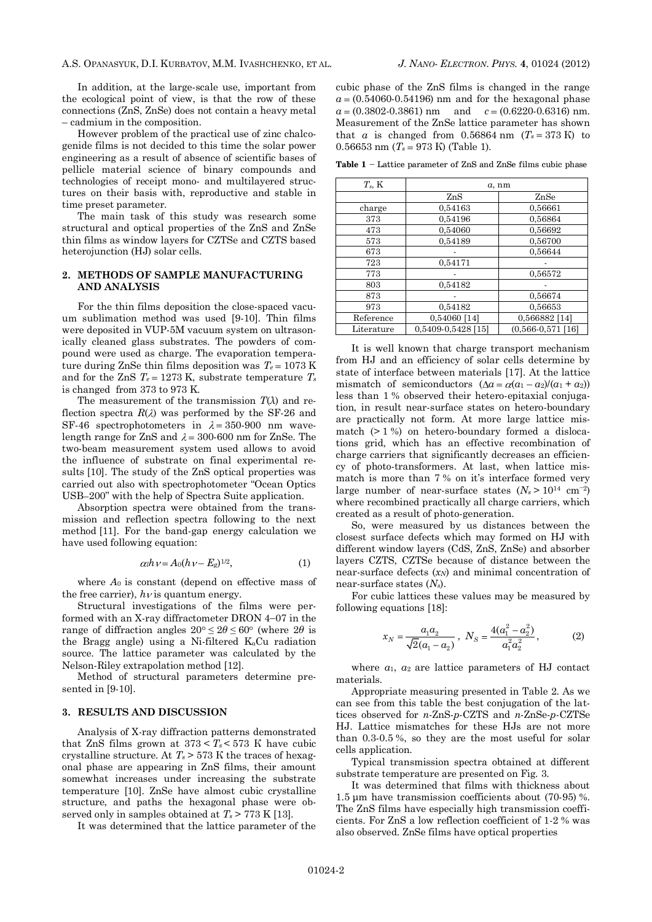In addition, at the large-scale use, important from the ecological point of view, is that the row of these connections (ZnS, ZnSe) does not contain a heavy metal – cadmium in the composition.

However problem of the practical use of zinc chalcogenide films is not decided to this time the solar power engineering as a result of absence of scientific bases of pellicle material science of binary compounds and technologies of receipt mono- and multilayered structures on their basis with, reproductive and stable in time preset parameter.

The main task of this study was research some structural and optical properties of the ZnS and ZnSe thin films as window layers for CZTSе and CZTS based heterojunction (HJ) solar cells.

## **2. METHODS OF SAMPLE MANUFACTURING AND ANALYSIS**

For the thin films deposition the close-spaced vacuum sublimation method was used [9-10]. Thin films were deposited in VUP-5M vacuum system on ultrasonically cleaned glass substrates. The powders of compound were used as charge. The evaporation temperature during ZnSe thin films deposition was  $T_e = 1073$  K and for the ZnS  $T_e = 1273$  K, substrate temperature  $T_s$ is changed from 373 to 973 K.

The measurement of the transmission *Т*(*λ*) and reflection spectra  $R(\lambda)$  was performed by the SF-26 and SF-46 spectrophotometers in  $\lambda = 350-900$  nm wavelength range for ZnS and  $\lambda = 300-600$  nm for ZnSe. The two-beam measurement system used allows to avoid the influence of substrate on final experimental results [10]. The study of the ZnS optical properties was carried out also with spectrophotometer "Ocean Optics USB-200" with the help of Spectra Suite application.

Absorption spectra were obtained from the transmission and reflection spectra following to the next method [11]. For the band-gap energy calculation we have used following equation:

$$
\alpha_l h \nu = A_0 (h \nu - E_g)^{1/2}, \tag{1}
$$

where *А*<sup>0</sup> is constant (depend on effective mass of the free carrier),  $h\nu$  is quantum energy.

Structural investigations of the films were performed with an X-ray diffractometer DRON  $4-07$  in the range of diffraction angles  $20^{\circ} \le 2\theta \le 60^{\circ}$  (where  $2\theta$  is the Bragg angle) using a Ni-filtered  $K_aCu$  radiation source. The lattice parameter was calculated by the Nelson-Riley extrapolation method [12].

Method of structural parameters determine presented in [9-10].

#### **3. RESULTS AND DISCUSSION**

Analysis of X-ray diffraction patterns demonstrated that ZnS films grown at  $373 < T_s < 573$  K have cubic crystalline structure. At  $T_s$  > 573 K the traces of hexagonal phase are appearing in ZnS films, their amount somewhat increases under increasing the substrate temperature [10]. ZnSe have almost cubic crystalline structure, and paths the hexagonal phase were observed only in samples obtained at  $T_s$  > 773 K [13].

It was determined that the lattice parameter of the

cubic phase of the ZnS films is changed in the range  $a = (0.54060-0.54196)$  nm and for the hexagonal phase  $a = (0.3802 - 0.3861)$  nm and  $c = (0.6220 - 0.6316)$  nm. Measurement of the ZnSe lattice parameter has shown that *a* is changed from 0.56864 nm  $(T_s = 373 \text{ K})$  to 0.56653 nm  $(T_s = 973 \text{ K})$  (Table 1).

**Table 1** – Lattice parameter of ZnS and ZnSe films cubic phase

| $T_s$ , K  | $a$ , nm           |                       |  |  |  |
|------------|--------------------|-----------------------|--|--|--|
|            | ZnS                | ZnSe                  |  |  |  |
| charge     | 0,54163            | 0,56661               |  |  |  |
| 373        | 0,54196            | 0,56864               |  |  |  |
| 473        | 0.54060            | 0,56692               |  |  |  |
| 573        | 0,54189            | 0,56700               |  |  |  |
| 673        |                    | 0,56644               |  |  |  |
| 723        | 0,54171            |                       |  |  |  |
| 773        |                    | 0,56572               |  |  |  |
| 803        | 0,54182            |                       |  |  |  |
| 873        |                    | 0,56674               |  |  |  |
| 973        | 0,54182            | 0,56653               |  |  |  |
| Reference  | 0,54060 [14]       | 0,566882 [14]         |  |  |  |
| Literature | 0.5409-0.5428 [15] | $(0.566 - 0.571$ [16] |  |  |  |

It is well known that charge transport mechanism from HJ and an efficiency of solar cells determine by state of interface between materials [17]. At the lattice mismatch of semiconductors  $(\Delta a = \alpha (a_1 - a_2)/(a_1 + a_2))$ less than 1 % observed their hetero-epitaxial conjugation, in result near-surface states on hetero-boundary are practically not form. At more large lattice mismatch  $(> 1\%)$  on hetero-boundary formed a dislocations grid, which has an effective recombination of charge carriers that significantly decreases an efficiency of photo-transformers. At last, when lattice mismatch is more than 7 % on it's interface formed very large number of near-surface states  $(N_s > 10^{14} \text{ cm}^{-2})$ where recombined practically all charge carriers, which created as a result of photo-generation.

So, were measured by us distances between the closest surface defects which may formed on HJ with different window layers (CdS, ZnS, ZnSe) and absorber layers CZTS, CZTSe because of distance between the near-surface defects (*xN*) and minimal concentration of near-surface states (*Ns*).

For cubic lattices these values may be measured by following equations [18]:

$$
x_N = \frac{a_1 a_2}{\sqrt{2}(a_1 - a_2)}, \ N_S = \frac{4(a_1^2 - a_2^2)}{a_1^2 a_2^2}, \tag{2}
$$

where *a*1, *a*<sup>2</sup> are lattice parameters of HJ contact materials.

Appropriate measuring presented in Table 2. As we can see from this table the best conjugation of the lattices observed for *n*-ZnS-*p*-CZTS and *n*-ZnSe-*p*-CZTSe HJ. Lattice mismatches for these HJs are not more than 0.3-0.5 %, so they are the most useful for solar cells application.

Typical transmission spectra obtained at different substrate temperature are presented on Fig. 3.

It was determined that films with thickness about 1.5 μm have transmission coefficients about (70-95) %. The ZnS films have especially high transmission coefficients. For ZnS a low reflection coefficient of 1-2 % was also observed. ZnSe films have optical properties